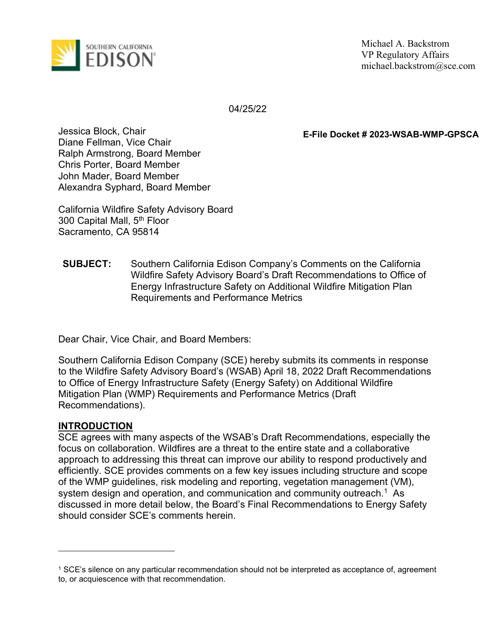

Michael A. Backstrom VP Regulatory Affairs michael.backstrom@sce.com

04/25/22

E-File Docket # 2023-WSAB-WMP-GPSCA

Jessica Block, Chair Diane Fellman, Vice Chair Ralph Armstrong, Board Member Chris Porter, Board Member John Mader, Board Member Alexandra Syphard, Board Member

California Wildfire Safety Advisory Board 300 Capital Mall, 5th Floor Sacramento, CA 95814

SUBJECT: Southern California Edison Company's Comments on the California Wildfire Safety Advisory Board's Draft Recommendations to Office of Energy Infrastructure Safety on Additional Wildfire Mitigation Plan Requirements and Performance Metrics

Dear Chair, Vice Chair, and Board Members:

Southern California Edison Company (SCE) hereby submits its comments in response to the Wildfire Safety Advisory Board's (WSAB) April 18, 2022 Draft Recommendations to Office of Energy Infrastructure Safety (Energy Safety) on Additional Wildfire Mitigation Plan (WMP) Requirements and Performance Metrics (Draft Recommendations).

#### INTRODUCTION

SCE agrees with many aspects of the WSAB's Draft Recommendations, especially the focus on collaboration. Wildfires are a threat to the entire state and a collaborative approach to addressing this threat can improve our ability to respond productively and efficiently. SCE provides comments on a few key issues including structure and scope of the WMP guidelines, risk modeling and reporting, vegetation management (VM), system design and operation, and communication and community outreach.<sup>1</sup> As discussed in more detail below, the Board's Final Recommendations to Energy Safety should consider SCE's comments herein.

<sup>1</sup> SCE's silence on any particular recommendation should not be interpreted as acceptance of, agreement to, or acquiescence with that recommendation.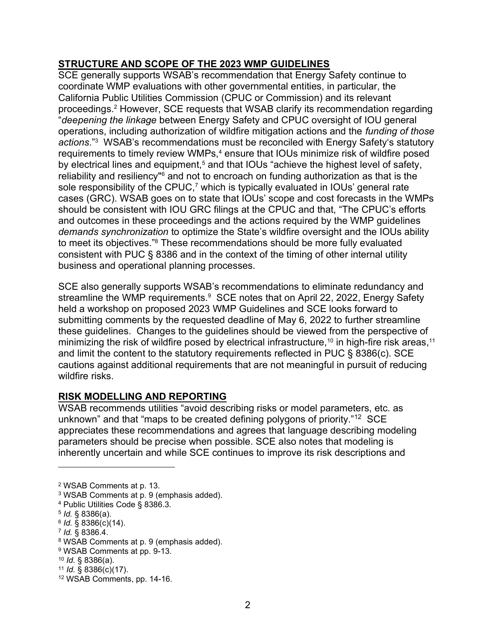## STRUCTURE AND SCOPE OF THE 2023 WMP GUIDELINES

SCE generally supports WSAB's recommendation that Energy Safety continue to coordinate WMP evaluations with other governmental entities, in particular, the California Public Utilities Commission (CPUC or Commission) and its relevant proceedings.<sup>2</sup> However, SCE requests that WSAB clarify its recommendation regarding "deepening the linkage between Energy Safety and CPUC oversight of IOU general operations, including authorization of wildfire mitigation actions and the funding of those actions."<sup>3</sup> WSAB's recommendations must be reconciled with Energy Safety's statutory requirements to timely review WMPs, $\displaystyle{^4}$  ensure that IOUs minimize risk of wildfire posed by electrical lines and equipment,<sup>5</sup> and that IOUs "achieve the highest level of safety, reliability and resiliency"<sup>6</sup> and not to encroach on funding authorization as that is the sole responsibility of the CPUC,<sup>7</sup> which is typically evaluated in IOUs' general rate cases (GRC). WSAB goes on to state that IOUs' scope and cost forecasts in the WMPs should be consistent with IOU GRC filings at the CPUC and that, "The CPUC's efforts and outcomes in these proceedings and the actions required by the WMP guidelines demands synchronization to optimize the State's wildfire oversight and the IOUs ability to meet its objectives."<sup>8</sup> These recommendations should be more fully evaluated consistent with PUC § 8386 and in the context of the timing of other internal utility business and operational planning processes.

SCE also generally supports WSAB's recommendations to eliminate redundancy and streamline the WMP requirements.<sup>9</sup> SCE notes that on April 22, 2022, Energy Safety held a workshop on proposed 2023 WMP Guidelines and SCE looks forward to submitting comments by the requested deadline of May 6, 2022 to further streamline these guidelines. Changes to the guidelines should be viewed from the perspective of minimizing the risk of wildfire posed by electrical infrastructure,<sup>10</sup> in high-fire risk areas,<sup>11</sup> and limit the content to the statutory requirements reflected in PUC § 8386(c). SCE cautions against additional requirements that are not meaningful in pursuit of reducing wildfire risks.

# RISK MODELLING AND REPORTING

WSAB recommends utilities "avoid describing risks or model parameters, etc. as unknown" and that "maps to be created defining polygons of priority."<sup>12</sup> SCE appreciates these recommendations and agrees that language describing modeling parameters should be precise when possible. SCE also notes that modeling is inherently uncertain and while SCE continues to improve its risk descriptions and

7 Id. § 8386.4.

<sup>2</sup> WSAB Comments at p. 13.

<sup>3</sup> WSAB Comments at p. 9 (emphasis added).

<sup>4</sup> Public Utilities Code § 8386.3.

 $5$  *Id.* § 8386(a).

<sup>6</sup> Id. § 8386(c)(14).

<sup>8</sup> WSAB Comments at p. 9 (emphasis added).

<sup>9</sup> WSAB Comments at pp. 9-13.

 $10$  *Id.* § 8386(a).

<sup>11</sup> *Id.*  $\S$  8386(c)(17).

<sup>12</sup> WSAB Comments, pp. 14-16.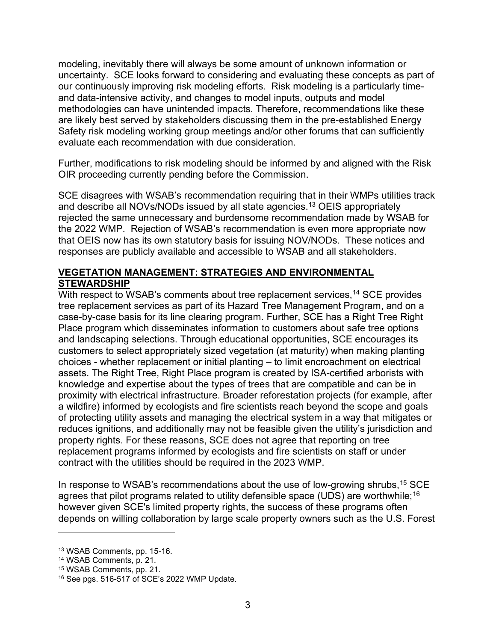modeling, inevitably there will always be some amount of unknown information or uncertainty. SCE looks forward to considering and evaluating these concepts as part of our continuously improving risk modeling efforts. Risk modeling is a particularly timeand data-intensive activity, and changes to model inputs, outputs and model methodologies can have unintended impacts. Therefore, recommendations like these are likely best served by stakeholders discussing them in the pre-established Energy Safety risk modeling working group meetings and/or other forums that can sufficiently evaluate each recommendation with due consideration.

Further, modifications to risk modeling should be informed by and aligned with the Risk OIR proceeding currently pending before the Commission.

SCE disagrees with WSAB's recommendation requiring that in their WMPs utilities track and describe all NOVs/NODs issued by all state agencies.<sup>13</sup> OEIS appropriately rejected the same unnecessary and burdensome recommendation made by WSAB for the 2022 WMP. Rejection of WSAB's recommendation is even more appropriate now that OEIS now has its own statutory basis for issuing NOV/NODs. These notices and responses are publicly available and accessible to WSAB and all stakeholders.

# VEGETATION MANAGEMENT: STRATEGIES AND ENVIRONMENTAL STEWARDSHIP

With respect to WSAB's comments about tree replacement services,<sup>14</sup> SCE provides tree replacement services as part of its Hazard Tree Management Program, and on a case-by-case basis for its line clearing program. Further, SCE has a Right Tree Right Place program which disseminates information to customers about safe tree options and landscaping selections. Through educational opportunities, SCE encourages its customers to select appropriately sized vegetation (at maturity) when making planting choices - whether replacement or initial planting – to limit encroachment on electrical assets. The Right Tree, Right Place program is created by ISA-certified arborists with knowledge and expertise about the types of trees that are compatible and can be in proximity with electrical infrastructure. Broader reforestation projects (for example, after a wildfire) informed by ecologists and fire scientists reach beyond the scope and goals of protecting utility assets and managing the electrical system in a way that mitigates or reduces ignitions, and additionally may not be feasible given the utility's jurisdiction and property rights. For these reasons, SCE does not agree that reporting on tree replacement programs informed by ecologists and fire scientists on staff or under contract with the utilities should be required in the 2023 WMP.

In response to WSAB's recommendations about the use of low-growing shrubs, <sup>15</sup> SCE agrees that pilot programs related to utility defensible space (UDS) are worthwhile;<sup>16</sup> however given SCE's limited property rights, the success of these programs often depends on willing collaboration by large scale property owners such as the U.S. Forest

<sup>13</sup> WSAB Comments, pp. 15-16.

<sup>14</sup> WSAB Comments, p. 21.

<sup>15</sup> WSAB Comments, pp. 21.

<sup>16</sup> See pgs. 516-517 of SCE's 2022 WMP Update.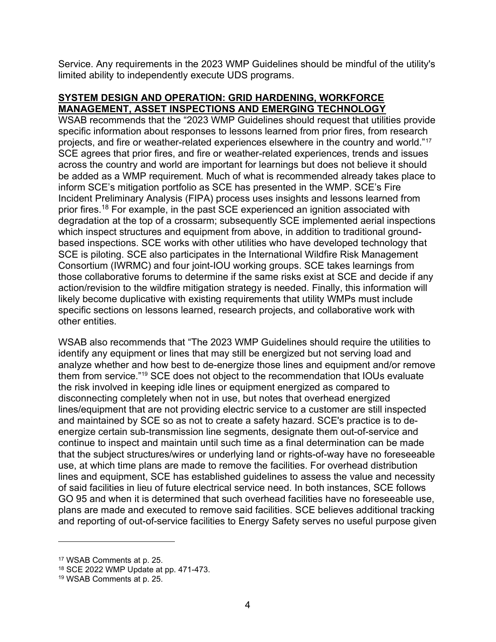Service. Any requirements in the 2023 WMP Guidelines should be mindful of the utility's limited ability to independently execute UDS programs.

## SYSTEM DESIGN AND OPERATION: GRID HARDENING, WORKFORCE MANAGEMENT, ASSET INSPECTIONS AND EMERGING TECHNOLOGY

WSAB recommends that the "2023 WMP Guidelines should request that utilities provide specific information about responses to lessons learned from prior fires, from research projects, and fire or weather-related experiences elsewhere in the country and world."<sup>17</sup> SCE agrees that prior fires, and fire or weather-related experiences, trends and issues across the country and world are important for learnings but does not believe it should be added as a WMP requirement. Much of what is recommended already takes place to inform SCE's mitigation portfolio as SCE has presented in the WMP. SCE's Fire Incident Preliminary Analysis (FIPA) process uses insights and lessons learned from prior fires.<sup>18</sup> For example, in the past SCE experienced an ignition associated with degradation at the top of a crossarm; subsequently SCE implemented aerial inspections which inspect structures and equipment from above, in addition to traditional groundbased inspections. SCE works with other utilities who have developed technology that SCE is piloting. SCE also participates in the International Wildfire Risk Management Consortium (IWRMC) and four joint-IOU working groups. SCE takes learnings from those collaborative forums to determine if the same risks exist at SCE and decide if any action/revision to the wildfire mitigation strategy is needed. Finally, this information will likely become duplicative with existing requirements that utility WMPs must include specific sections on lessons learned, research projects, and collaborative work with other entities.

WSAB also recommends that "The 2023 WMP Guidelines should require the utilities to identify any equipment or lines that may still be energized but not serving load and analyze whether and how best to de-energize those lines and equipment and/or remove them from service."19 SCE does not object to the recommendation that IOUs evaluate the risk involved in keeping idle lines or equipment energized as compared to disconnecting completely when not in use, but notes that overhead energized lines/equipment that are not providing electric service to a customer are still inspected and maintained by SCE so as not to create a safety hazard. SCE's practice is to deenergize certain sub-transmission line segments, designate them out-of-service and continue to inspect and maintain until such time as a final determination can be made that the subject structures/wires or underlying land or rights-of-way have no foreseeable use, at which time plans are made to remove the facilities. For overhead distribution lines and equipment, SCE has established guidelines to assess the value and necessity of said facilities in lieu of future electrical service need. In both instances, SCE follows GO 95 and when it is determined that such overhead facilities have no foreseeable use, plans are made and executed to remove said facilities. SCE believes additional tracking and reporting of out-of-service facilities to Energy Safety serves no useful purpose given

<sup>17</sup> WSAB Comments at p. 25.

<sup>18</sup> SCE 2022 WMP Update at pp. 471-473.

<sup>19</sup> WSAB Comments at p. 25.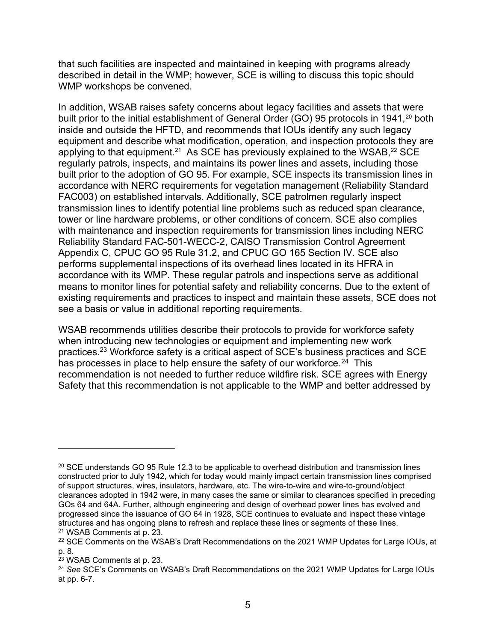that such facilities are inspected and maintained in keeping with programs already described in detail in the WMP; however, SCE is willing to discuss this topic should WMP workshops be convened.

In addition, WSAB raises safety concerns about legacy facilities and assets that were built prior to the initial establishment of General Order (GO) 95 protocols in 1941,<sup>20</sup> both inside and outside the HFTD, and recommends that IOUs identify any such legacy equipment and describe what modification, operation, and inspection protocols they are applying to that equipment.<sup>21</sup> As SCE has previously explained to the WSAB, $^{22}$  SCE regularly patrols, inspects, and maintains its power lines and assets, including those built prior to the adoption of GO 95. For example, SCE inspects its transmission lines in accordance with NERC requirements for vegetation management (Reliability Standard FAC003) on established intervals. Additionally, SCE patrolmen regularly inspect transmission lines to identify potential line problems such as reduced span clearance, tower or line hardware problems, or other conditions of concern. SCE also complies with maintenance and inspection requirements for transmission lines including NERC Reliability Standard FAC-501-WECC-2, CAISO Transmission Control Agreement Appendix C, CPUC GO 95 Rule 31.2, and CPUC GO 165 Section IV. SCE also performs supplemental inspections of its overhead lines located in its HFRA in accordance with its WMP. These regular patrols and inspections serve as additional means to monitor lines for potential safety and reliability concerns. Due to the extent of existing requirements and practices to inspect and maintain these assets, SCE does not see a basis or value in additional reporting requirements.

WSAB recommends utilities describe their protocols to provide for workforce safety when introducing new technologies or equipment and implementing new work practices.<sup>23</sup> Workforce safety is a critical aspect of SCE's business practices and SCE has processes in place to help ensure the safety of our workforce.<sup>24</sup> This recommendation is not needed to further reduce wildfire risk. SCE agrees with Energy Safety that this recommendation is not applicable to the WMP and better addressed by

 $20$  SCE understands GO 95 Rule 12.3 to be applicable to overhead distribution and transmission lines constructed prior to July 1942, which for today would mainly impact certain transmission lines comprised of support structures, wires, insulators, hardware, etc. The wire-to-wire and wire-to-ground/object clearances adopted in 1942 were, in many cases the same or similar to clearances specified in preceding GOs 64 and 64A. Further, although engineering and design of overhead power lines has evolved and progressed since the issuance of GO 64 in 1928, SCE continues to evaluate and inspect these vintage structures and has ongoing plans to refresh and replace these lines or segments of these lines. <sup>21</sup> WSAB Comments at p. 23.

<sup>&</sup>lt;sup>22</sup> SCE Comments on the WSAB's Draft Recommendations on the 2021 WMP Updates for Large IOUs, at p. 8.

<sup>23</sup> WSAB Comments at p. 23.

<sup>&</sup>lt;sup>24</sup> See SCE's Comments on WSAB's Draft Recommendations on the 2021 WMP Updates for Large IOUs at pp. 6-7.